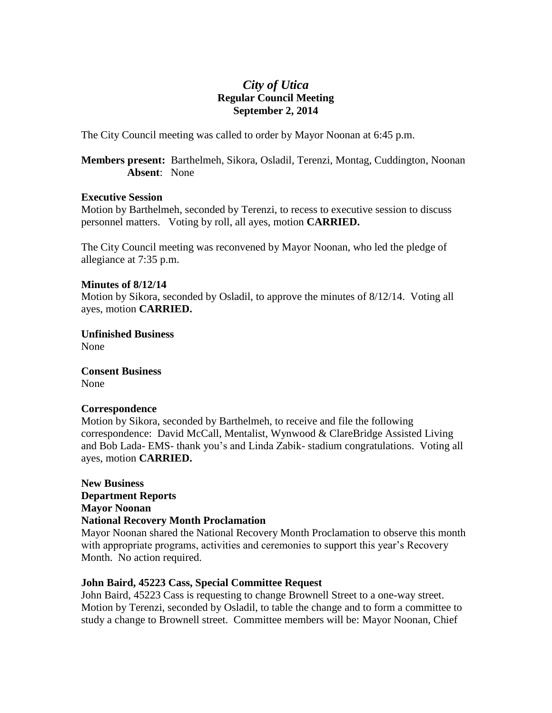# *City of Utica* **Regular Council Meeting September 2, 2014**

The City Council meeting was called to order by Mayor Noonan at 6:45 p.m.

**Members present:** Barthelmeh, Sikora, Osladil, Terenzi, Montag, Cuddington, Noonan **Absent**: None

#### **Executive Session**

Motion by Barthelmeh, seconded by Terenzi, to recess to executive session to discuss personnel matters. Voting by roll, all ayes, motion **CARRIED.**

The City Council meeting was reconvened by Mayor Noonan, who led the pledge of allegiance at 7:35 p.m.

### **Minutes of 8/12/14**

Motion by Sikora, seconded by Osladil, to approve the minutes of 8/12/14. Voting all ayes, motion **CARRIED.**

**Unfinished Business** None

**Consent Business** None

# **Correspondence**

Motion by Sikora, seconded by Barthelmeh, to receive and file the following correspondence: David McCall, Mentalist, Wynwood & ClareBridge Assisted Living and Bob Lada- EMS- thank you's and Linda Zabik- stadium congratulations. Voting all ayes, motion **CARRIED.**

**New Business Department Reports Mayor Noonan National Recovery Month Proclamation**

Mayor Noonan shared the National Recovery Month Proclamation to observe this month with appropriate programs, activities and ceremonies to support this year's Recovery Month. No action required.

### **John Baird, 45223 Cass, Special Committee Request**

John Baird, 45223 Cass is requesting to change Brownell Street to a one-way street. Motion by Terenzi, seconded by Osladil, to table the change and to form a committee to study a change to Brownell street. Committee members will be: Mayor Noonan, Chief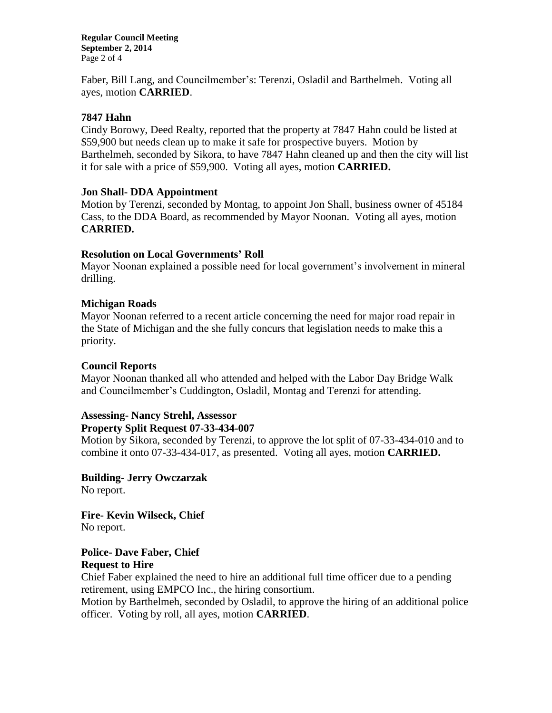**Regular Council Meeting September 2, 2014** Page 2 of 4

Faber, Bill Lang, and Councilmember's: Terenzi, Osladil and Barthelmeh. Voting all ayes, motion **CARRIED**.

### **7847 Hahn**

Cindy Borowy, Deed Realty, reported that the property at 7847 Hahn could be listed at \$59,900 but needs clean up to make it safe for prospective buyers. Motion by Barthelmeh, seconded by Sikora, to have 7847 Hahn cleaned up and then the city will list it for sale with a price of \$59,900. Voting all ayes, motion **CARRIED.**

#### **Jon Shall- DDA Appointment**

Motion by Terenzi, seconded by Montag, to appoint Jon Shall, business owner of 45184 Cass, to the DDA Board, as recommended by Mayor Noonan. Voting all ayes, motion **CARRIED.**

#### **Resolution on Local Governments' Roll**

Mayor Noonan explained a possible need for local government's involvement in mineral drilling.

#### **Michigan Roads**

Mayor Noonan referred to a recent article concerning the need for major road repair in the State of Michigan and the she fully concurs that legislation needs to make this a priority.

#### **Council Reports**

Mayor Noonan thanked all who attended and helped with the Labor Day Bridge Walk and Councilmember's Cuddington, Osladil, Montag and Terenzi for attending.

# **Assessing- Nancy Strehl, Assessor**

#### **Property Split Request 07-33-434-007**

Motion by Sikora, seconded by Terenzi, to approve the lot split of 07-33-434-010 and to combine it onto 07-33-434-017, as presented. Voting all ayes, motion **CARRIED.**

**Building- Jerry Owczarzak** No report.

**Fire- Kevin Wilseck, Chief** No report.

### **Police- Dave Faber, Chief Request to Hire**

Chief Faber explained the need to hire an additional full time officer due to a pending retirement, using EMPCO Inc., the hiring consortium.

Motion by Barthelmeh, seconded by Osladil, to approve the hiring of an additional police officer. Voting by roll, all ayes, motion **CARRIED**.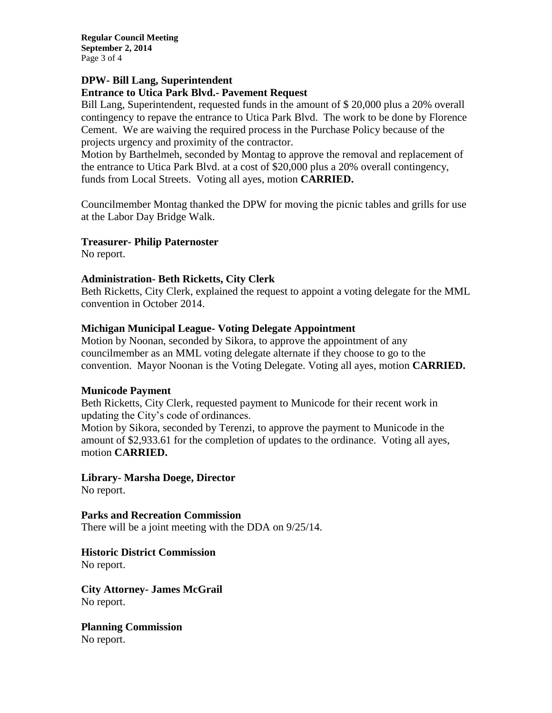**Regular Council Meeting September 2, 2014** Page 3 of 4

#### **DPW- Bill Lang, Superintendent Entrance to Utica Park Blvd.- Pavement Request**

Bill Lang, Superintendent, requested funds in the amount of \$ 20,000 plus a 20% overall contingency to repave the entrance to Utica Park Blvd. The work to be done by Florence Cement. We are waiving the required process in the Purchase Policy because of the projects urgency and proximity of the contractor.

Motion by Barthelmeh, seconded by Montag to approve the removal and replacement of the entrance to Utica Park Blvd. at a cost of \$20,000 plus a 20% overall contingency, funds from Local Streets. Voting all ayes, motion **CARRIED.**

Councilmember Montag thanked the DPW for moving the picnic tables and grills for use at the Labor Day Bridge Walk.

# **Treasurer- Philip Paternoster**

No report.

# **Administration- Beth Ricketts, City Clerk**

Beth Ricketts, City Clerk, explained the request to appoint a voting delegate for the MML convention in October 2014.

# **Michigan Municipal League- Voting Delegate Appointment**

Motion by Noonan, seconded by Sikora, to approve the appointment of any councilmember as an MML voting delegate alternate if they choose to go to the convention. Mayor Noonan is the Voting Delegate. Voting all ayes, motion **CARRIED.**

### **Municode Payment**

Beth Ricketts, City Clerk, requested payment to Municode for their recent work in updating the City's code of ordinances.

Motion by Sikora, seconded by Terenzi, to approve the payment to Municode in the amount of \$2,933.61 for the completion of updates to the ordinance. Voting all ayes, motion **CARRIED.**

**Library- Marsha Doege, Director** No report.

**Parks and Recreation Commission** There will be a joint meeting with the DDA on 9/25/14.

**Historic District Commission** No report.

**City Attorney- James McGrail** No report.

**Planning Commission** No report.